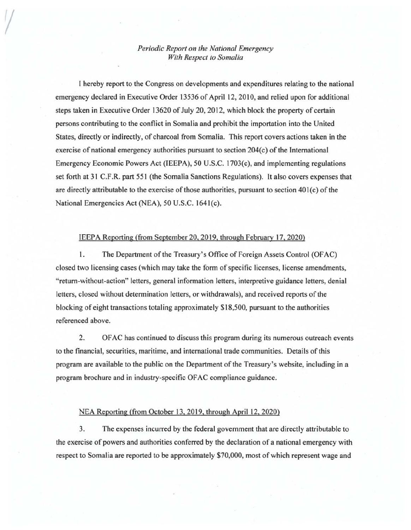## *Periodic Report on the National Emergency With Respect to Somalia*

I hereby report to the Congress on developments and expenditures relating to the national emergency declared in Executive Order 13536 of April 12, 2010, and relied upon for additional steps taken in Executive Order 13620 of July 20, 2012, which block the property of certain persons contributing to the conflict in Somalia and prohibit the importation into the United States, directly or indirectly, of charcoal from Somalia. This report covers actions taken in the exercise of national emergency authorities pursuant to section 204(c) of the International Emergency Economic Powers Act (IEEPA), 50 U.S.C. 1703(c), and implementing regulations set forth at 31 C.F.R. part 551 (the Somalia Sanctions Regulations). It also covers expenses that are directly attributable to the exercise of those authorities, pursuant to section 40l(c) of the National Emergencies Act (NEA), 50 U.S.C. 1641(c).

## IEEPA Reporting (from September 20,2019. through February 17, 2020)

l. The Department of the Treasury's Office of Foreign Assets Control (OFAC) closed two licensing cases (which may take the form of specific licenses, license amendments, "return-without-action" letters, general information letters, interpretive guidance letters, denial letters, closed without determination letters, or withdrawals), and received reports of the blocking of eight transactions totaling approximately \$18,500, pursuant to the authorities referenced above.

2. OF AC has continued to discuss this program during its numerous outreach events to the financial, securities, maritime, and international trade communities. Details of this program are available to the public on the Department of the Treasury's website, including in a program brochure and in industry-specific OF AC compliance guidance.

## NEA Reporting (from October 13. 2019, through April 12, 2020)

3. The expenses incurred by the federal government that are directly attributable to the exercise of powers and authorities conferred by the declaration of a national emergency with respect to Somalia are reported to be approximately \$70,000, most of which represent wage and